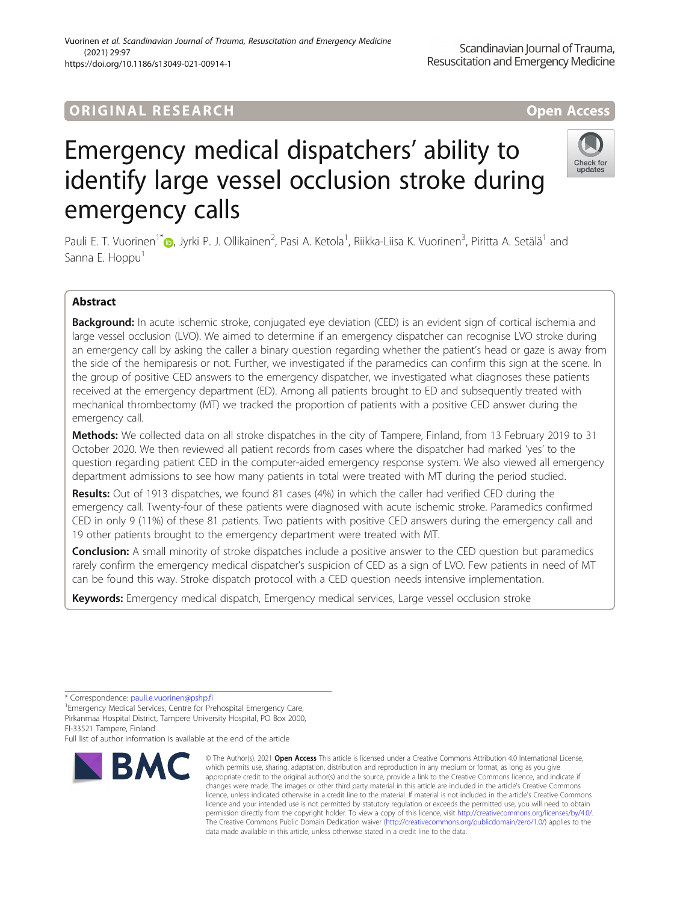## ORIGINA L R E S EA RCH Open Access

# Emergency medical dispatchers' ability to identify large vessel occlusion stroke during emergency calls

Pauli E. T. Vuorinen<sup>1[\\*](http://orcid.org/0000-0003-3305-7356)</sup>®, Jyrki P. J. Ollikainen<sup>2</sup>, Pasi A. Ketola<sup>1</sup>, Riikka-Liisa K. Vuorinen<sup>3</sup>, Piritta A. Setälä<sup>1</sup> and Sanna E. Hoppu<sup>1</sup>

## Abstract

Background: In acute ischemic stroke, conjugated eye deviation (CED) is an evident sign of cortical ischemia and large vessel occlusion (LVO). We aimed to determine if an emergency dispatcher can recognise LVO stroke during an emergency call by asking the caller a binary question regarding whether the patient's head or gaze is away from the side of the hemiparesis or not. Further, we investigated if the paramedics can confirm this sign at the scene. In the group of positive CED answers to the emergency dispatcher, we investigated what diagnoses these patients received at the emergency department (ED). Among all patients brought to ED and subsequently treated with mechanical thrombectomy (MT) we tracked the proportion of patients with a positive CED answer during the emergency call.

Methods: We collected data on all stroke dispatches in the city of Tampere, Finland, from 13 February 2019 to 31 October 2020. We then reviewed all patient records from cases where the dispatcher had marked 'yes' to the question regarding patient CED in the computer-aided emergency response system. We also viewed all emergency department admissions to see how many patients in total were treated with MT during the period studied.

Results: Out of 1913 dispatches, we found 81 cases (4%) in which the caller had verified CED during the emergency call. Twenty-four of these patients were diagnosed with acute ischemic stroke. Paramedics confirmed CED in only 9 (11%) of these 81 patients. Two patients with positive CED answers during the emergency call and 19 other patients brought to the emergency department were treated with MT.

**Conclusion:** A small minority of stroke dispatches include a positive answer to the CED question but paramedics rarely confirm the emergency medical dispatcher's suspicion of CED as a sign of LVO. Few patients in need of MT can be found this way. Stroke dispatch protocol with a CED question needs intensive implementation.

Keywords: Emergency medical dispatch, Emergency medical services, Large vessel occlusion stroke

<sup>1</sup> Emergency Medical Services, Centre for Prehospital Emergency Care, Pirkanmaa Hospital District, Tampere University Hospital, PO Box 2000, FI-33521 Tampere, Finland

Full list of author information is available at the end of the article

#### © The Author(s), 2021 **Open Access** This article is licensed under a Creative Commons Attribution 4.0 International License, which permits use, sharing, adaptation, distribution and reproduction in any medium or format, as long as you give appropriate credit to the original author(s) and the source, provide a link to the Creative Commons licence, and indicate if changes were made. The images or other third party material in this article are included in the article's Creative Commons licence, unless indicated otherwise in a credit line to the material. If material is not included in the article's Creative Commons licence and your intended use is not permitted by statutory regulation or exceeds the permitted use, you will need to obtain permission directly from the copyright holder. To view a copy of this licence, visit [http://creativecommons.org/licenses/by/4.0/.](http://creativecommons.org/licenses/by/4.0/) The Creative Commons Public Domain Dedication waiver [\(http://creativecommons.org/publicdomain/zero/1.0/](http://creativecommons.org/publicdomain/zero/1.0/)) applies to the data made available in this article, unless otherwise stated in a credit line to the data.

**BMC** 





<sup>\*</sup> Correspondence: [pauli.e.vuorinen@pshp.fi](mailto:pauli.e.vuorinen@pshp.fi) <sup>1</sup>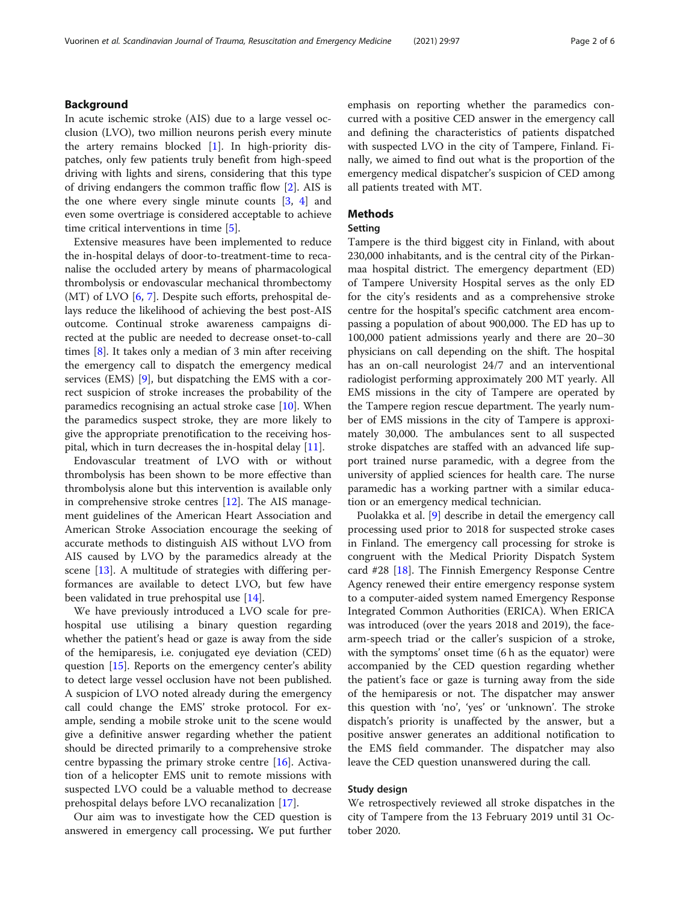## **Background**

In acute ischemic stroke (AIS) due to a large vessel occlusion (LVO), two million neurons perish every minute the artery remains blocked  $[1]$  $[1]$ . In high-priority dispatches, only few patients truly benefit from high-speed driving with lights and sirens, considering that this type of driving endangers the common traffic flow [[2\]](#page-5-0). AIS is the one where every single minute counts [[3,](#page-5-0) [4](#page-5-0)] and even some overtriage is considered acceptable to achieve time critical interventions in time [\[5](#page-5-0)].

Extensive measures have been implemented to reduce the in-hospital delays of door-to-treatment-time to recanalise the occluded artery by means of pharmacological thrombolysis or endovascular mechanical thrombectomy (MT) of LVO [[6,](#page-5-0) [7\]](#page-5-0). Despite such efforts, prehospital delays reduce the likelihood of achieving the best post-AIS outcome. Continual stroke awareness campaigns directed at the public are needed to decrease onset-to-call times [\[8](#page-5-0)]. It takes only a median of 3 min after receiving the emergency call to dispatch the emergency medical services (EMS) [\[9](#page-5-0)], but dispatching the EMS with a correct suspicion of stroke increases the probability of the paramedics recognising an actual stroke case [\[10](#page-5-0)]. When the paramedics suspect stroke, they are more likely to give the appropriate prenotification to the receiving hospital, which in turn decreases the in-hospital delay [\[11](#page-5-0)].

Endovascular treatment of LVO with or without thrombolysis has been shown to be more effective than thrombolysis alone but this intervention is available only in comprehensive stroke centres  $[12]$  $[12]$ . The AIS management guidelines of the American Heart Association and American Stroke Association encourage the seeking of accurate methods to distinguish AIS without LVO from AIS caused by LVO by the paramedics already at the scene [\[13\]](#page-5-0). A multitude of strategies with differing performances are available to detect LVO, but few have been validated in true prehospital use [[14](#page-5-0)].

We have previously introduced a LVO scale for prehospital use utilising a binary question regarding whether the patient's head or gaze is away from the side of the hemiparesis, i.e. conjugated eye deviation (CED) question [[15](#page-5-0)]. Reports on the emergency center's ability to detect large vessel occlusion have not been published. A suspicion of LVO noted already during the emergency call could change the EMS' stroke protocol. For example, sending a mobile stroke unit to the scene would give a definitive answer regarding whether the patient should be directed primarily to a comprehensive stroke centre bypassing the primary stroke centre [\[16\]](#page-5-0). Activation of a helicopter EMS unit to remote missions with suspected LVO could be a valuable method to decrease prehospital delays before LVO recanalization [[17\]](#page-5-0).

Our aim was to investigate how the CED question is answered in emergency call processing. We put further emphasis on reporting whether the paramedics concurred with a positive CED answer in the emergency call and defining the characteristics of patients dispatched with suspected LVO in the city of Tampere, Finland. Finally, we aimed to find out what is the proportion of the emergency medical dispatcher's suspicion of CED among all patients treated with MT.

## **Methods**

## Setting

Tampere is the third biggest city in Finland, with about 230,000 inhabitants, and is the central city of the Pirkanmaa hospital district. The emergency department (ED) of Tampere University Hospital serves as the only ED for the city's residents and as a comprehensive stroke centre for the hospital's specific catchment area encompassing a population of about 900,000. The ED has up to 100,000 patient admissions yearly and there are 20–30 physicians on call depending on the shift. The hospital has an on-call neurologist 24/7 and an interventional radiologist performing approximately 200 MT yearly. All EMS missions in the city of Tampere are operated by the Tampere region rescue department. The yearly number of EMS missions in the city of Tampere is approximately 30,000. The ambulances sent to all suspected stroke dispatches are staffed with an advanced life support trained nurse paramedic, with a degree from the university of applied sciences for health care. The nurse paramedic has a working partner with a similar education or an emergency medical technician.

Puolakka et al. [\[9](#page-5-0)] describe in detail the emergency call processing used prior to 2018 for suspected stroke cases in Finland. The emergency call processing for stroke is congruent with the Medical Priority Dispatch System card #28 [[18\]](#page-5-0). The Finnish Emergency Response Centre Agency renewed their entire emergency response system to a computer-aided system named Emergency Response Integrated Common Authorities (ERICA). When ERICA was introduced (over the years 2018 and 2019), the facearm-speech triad or the caller's suspicion of a stroke, with the symptoms' onset time (6 h as the equator) were accompanied by the CED question regarding whether the patient's face or gaze is turning away from the side of the hemiparesis or not. The dispatcher may answer this question with 'no', 'yes' or 'unknown'. The stroke dispatch's priority is unaffected by the answer, but a positive answer generates an additional notification to the EMS field commander. The dispatcher may also leave the CED question unanswered during the call.

## Study design

We retrospectively reviewed all stroke dispatches in the city of Tampere from the 13 February 2019 until 31 October 2020.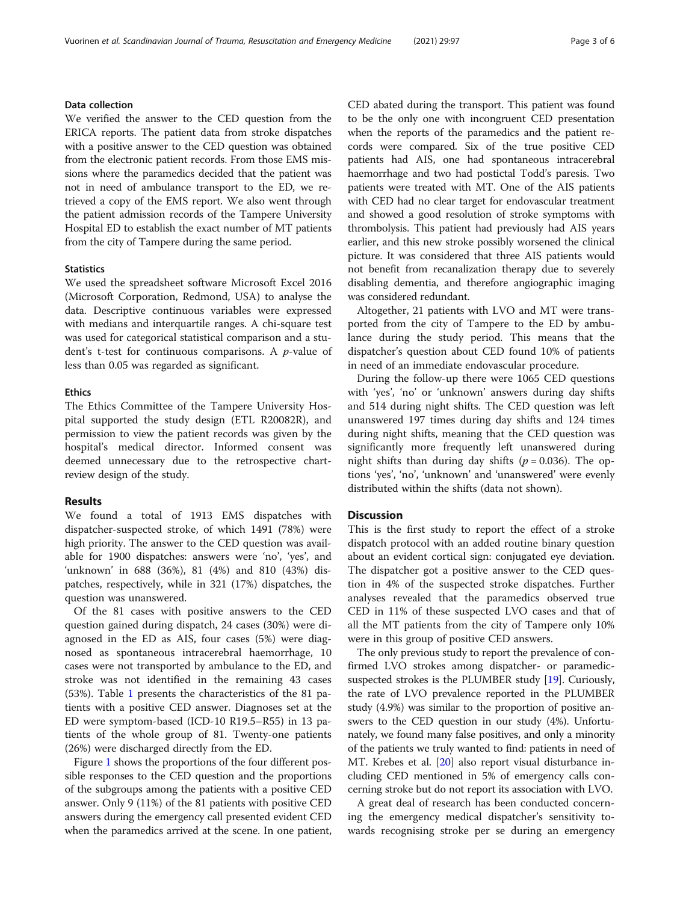## Data collection

We verified the answer to the CED question from the ERICA reports. The patient data from stroke dispatches with a positive answer to the CED question was obtained from the electronic patient records. From those EMS missions where the paramedics decided that the patient was not in need of ambulance transport to the ED, we retrieved a copy of the EMS report. We also went through the patient admission records of the Tampere University Hospital ED to establish the exact number of MT patients from the city of Tampere during the same period.

## **Statistics**

We used the spreadsheet software Microsoft Excel 2016 (Microsoft Corporation, Redmond, USA) to analyse the data. Descriptive continuous variables were expressed with medians and interquartile ranges. A chi-square test was used for categorical statistical comparison and a student's t-test for continuous comparisons. A p-value of less than 0.05 was regarded as significant.

#### **Ethics**

The Ethics Committee of the Tampere University Hospital supported the study design (ETL R20082R), and permission to view the patient records was given by the hospital's medical director. Informed consent was deemed unnecessary due to the retrospective chartreview design of the study.

#### Results

We found a total of 1913 EMS dispatches with dispatcher-suspected stroke, of which 1491 (78%) were high priority. The answer to the CED question was available for 1900 dispatches: answers were 'no', 'yes', and 'unknown' in 688 (36%), 81 (4%) and 810 (43%) dispatches, respectively, while in 321 (17%) dispatches, the question was unanswered.

Of the 81 cases with positive answers to the CED question gained during dispatch, 24 cases (30%) were diagnosed in the ED as AIS, four cases (5%) were diagnosed as spontaneous intracerebral haemorrhage, 10 cases were not transported by ambulance to the ED, and stroke was not identified in the remaining 43 cases (53%). Table [1](#page-3-0) presents the characteristics of the 81 patients with a positive CED answer. Diagnoses set at the ED were symptom-based (ICD-10 R19.5–R55) in 13 patients of the whole group of 81. Twenty-one patients (26%) were discharged directly from the ED.

Figure [1](#page-4-0) shows the proportions of the four different possible responses to the CED question and the proportions of the subgroups among the patients with a positive CED answer. Only 9 (11%) of the 81 patients with positive CED answers during the emergency call presented evident CED when the paramedics arrived at the scene. In one patient,

CED abated during the transport. This patient was found to be the only one with incongruent CED presentation when the reports of the paramedics and the patient records were compared. Six of the true positive CED patients had AIS, one had spontaneous intracerebral haemorrhage and two had postictal Todd's paresis. Two patients were treated with MT. One of the AIS patients with CED had no clear target for endovascular treatment and showed a good resolution of stroke symptoms with thrombolysis. This patient had previously had AIS years earlier, and this new stroke possibly worsened the clinical picture. It was considered that three AIS patients would not benefit from recanalization therapy due to severely disabling dementia, and therefore angiographic imaging was considered redundant.

Altogether, 21 patients with LVO and MT were transported from the city of Tampere to the ED by ambulance during the study period. This means that the dispatcher's question about CED found 10% of patients in need of an immediate endovascular procedure.

During the follow-up there were 1065 CED questions with 'yes', 'no' or 'unknown' answers during day shifts and 514 during night shifts. The CED question was left unanswered 197 times during day shifts and 124 times during night shifts, meaning that the CED question was significantly more frequently left unanswered during night shifts than during day shifts ( $p = 0.036$ ). The options 'yes', 'no', 'unknown' and 'unanswered' were evenly distributed within the shifts (data not shown).

## **Discussion**

This is the first study to report the effect of a stroke dispatch protocol with an added routine binary question about an evident cortical sign: conjugated eye deviation. The dispatcher got a positive answer to the CED question in 4% of the suspected stroke dispatches. Further analyses revealed that the paramedics observed true CED in 11% of these suspected LVO cases and that of all the MT patients from the city of Tampere only 10% were in this group of positive CED answers.

The only previous study to report the prevalence of confirmed LVO strokes among dispatcher- or paramedicsuspected strokes is the PLUMBER study [[19](#page-5-0)]. Curiously, the rate of LVO prevalence reported in the PLUMBER study (4.9%) was similar to the proportion of positive answers to the CED question in our study (4%). Unfortunately, we found many false positives, and only a minority of the patients we truly wanted to find: patients in need of MT. Krebes et al. [\[20\]](#page-5-0) also report visual disturbance including CED mentioned in 5% of emergency calls concerning stroke but do not report its association with LVO.

A great deal of research has been conducted concerning the emergency medical dispatcher's sensitivity towards recognising stroke per se during an emergency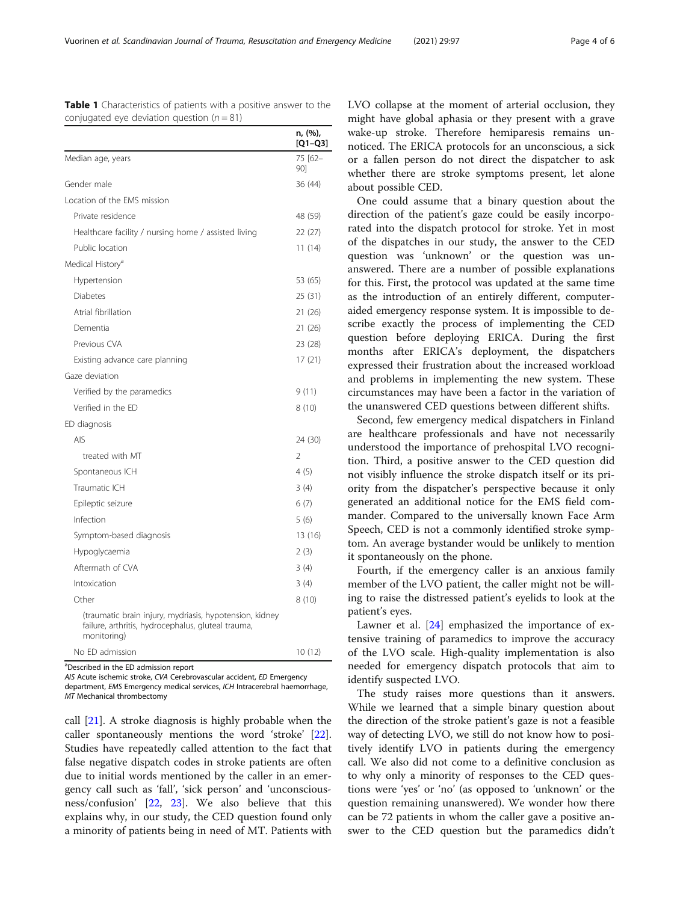<span id="page-3-0"></span>Vuorinen et al. Scandinavian Journal of Trauma, Resuscitation and Emergency Medicine (2021) 29:97 Page 4 of 6

|                                                                                                                              | n, (%),<br>$[Q1-Q3]$ |
|------------------------------------------------------------------------------------------------------------------------------|----------------------|
| Median age, years                                                                                                            | 75 [62-<br>901       |
| Gender male                                                                                                                  | 36 (44)              |
| Location of the FMS mission                                                                                                  |                      |
| Private residence                                                                                                            | 48 (59)              |
| Healthcare facility / nursing home / assisted living                                                                         | 22 (27)              |
| Public location                                                                                                              | 11 (14)              |
| Medical History <sup>a</sup>                                                                                                 |                      |
| Hypertension                                                                                                                 | 53 (65)              |
| <b>Diabetes</b>                                                                                                              | 25 (31)              |
| Atrial fibrillation                                                                                                          | 21 (26)              |
| Dementia                                                                                                                     | 21 (26)              |
| Previous CVA                                                                                                                 | 23 (28)              |
| Existing advance care planning                                                                                               | 17 (21)              |
| Gaze deviation                                                                                                               |                      |
| Verified by the paramedics                                                                                                   | 9(11)                |
| Verified in the ED                                                                                                           | 8(10)                |
| ED diagnosis                                                                                                                 |                      |
| <b>AIS</b>                                                                                                                   | 24 (30)              |
| treated with MT                                                                                                              | 2                    |
| Spontaneous ICH                                                                                                              | 4(5)                 |
| Traumatic ICH                                                                                                                | 3(4)                 |
| Epileptic seizure                                                                                                            | 6(7)                 |
| Infection                                                                                                                    | 5(6)                 |
| Symptom-based diagnosis                                                                                                      | 13 (16)              |
| Hypoglycaemia                                                                                                                | 2(3)                 |
| Aftermath of CVA                                                                                                             | 3(4)                 |
| Intoxication                                                                                                                 | 3(4)                 |
| Other                                                                                                                        | 8(10)                |
| (traumatic brain injury, mydriasis, hypotension, kidney<br>failure, arthritis, hydrocephalus, gluteal trauma,<br>monitoring) |                      |
| No ED admission                                                                                                              | 10(12)               |

Table 1 Characteristics of patients with a positive answer to the conjugated eye deviation question  $(n = 81)$ 

a Described in the ED admission report

AIS Acute ischemic stroke, CVA Cerebrovascular accident, ED Emergency department, EMS Emergency medical services, ICH Intracerebral haemorrhage, MT Mechanical thrombectomy

call [\[21\]](#page-5-0). A stroke diagnosis is highly probable when the caller spontaneously mentions the word 'stroke' [\[22](#page-5-0)]. Studies have repeatedly called attention to the fact that false negative dispatch codes in stroke patients are often due to initial words mentioned by the caller in an emergency call such as 'fall', 'sick person' and 'unconsciousness/confusion' [\[22,](#page-5-0) [23](#page-5-0)]. We also believe that this explains why, in our study, the CED question found only a minority of patients being in need of MT. Patients with LVO collapse at the moment of arterial occlusion, they might have global aphasia or they present with a grave wake-up stroke. Therefore hemiparesis remains unnoticed. The ERICA protocols for an unconscious, a sick or a fallen person do not direct the dispatcher to ask whether there are stroke symptoms present, let alone about possible CED.

One could assume that a binary question about the direction of the patient's gaze could be easily incorporated into the dispatch protocol for stroke. Yet in most of the dispatches in our study, the answer to the CED question was 'unknown' or the question was unanswered. There are a number of possible explanations for this. First, the protocol was updated at the same time as the introduction of an entirely different, computeraided emergency response system. It is impossible to describe exactly the process of implementing the CED question before deploying ERICA. During the first months after ERICA's deployment, the dispatchers expressed their frustration about the increased workload and problems in implementing the new system. These circumstances may have been a factor in the variation of the unanswered CED questions between different shifts.

Second, few emergency medical dispatchers in Finland are healthcare professionals and have not necessarily understood the importance of prehospital LVO recognition. Third, a positive answer to the CED question did not visibly influence the stroke dispatch itself or its priority from the dispatcher's perspective because it only generated an additional notice for the EMS field commander. Compared to the universally known Face Arm Speech, CED is not a commonly identified stroke symptom. An average bystander would be unlikely to mention it spontaneously on the phone.

Fourth, if the emergency caller is an anxious family member of the LVO patient, the caller might not be willing to raise the distressed patient's eyelids to look at the patient's eyes.

Lawner et al. [[24\]](#page-5-0) emphasized the importance of extensive training of paramedics to improve the accuracy of the LVO scale. High-quality implementation is also needed for emergency dispatch protocols that aim to identify suspected LVO.

The study raises more questions than it answers. While we learned that a simple binary question about the direction of the stroke patient's gaze is not a feasible way of detecting LVO, we still do not know how to positively identify LVO in patients during the emergency call. We also did not come to a definitive conclusion as to why only a minority of responses to the CED questions were 'yes' or 'no' (as opposed to 'unknown' or the question remaining unanswered). We wonder how there can be 72 patients in whom the caller gave a positive answer to the CED question but the paramedics didn't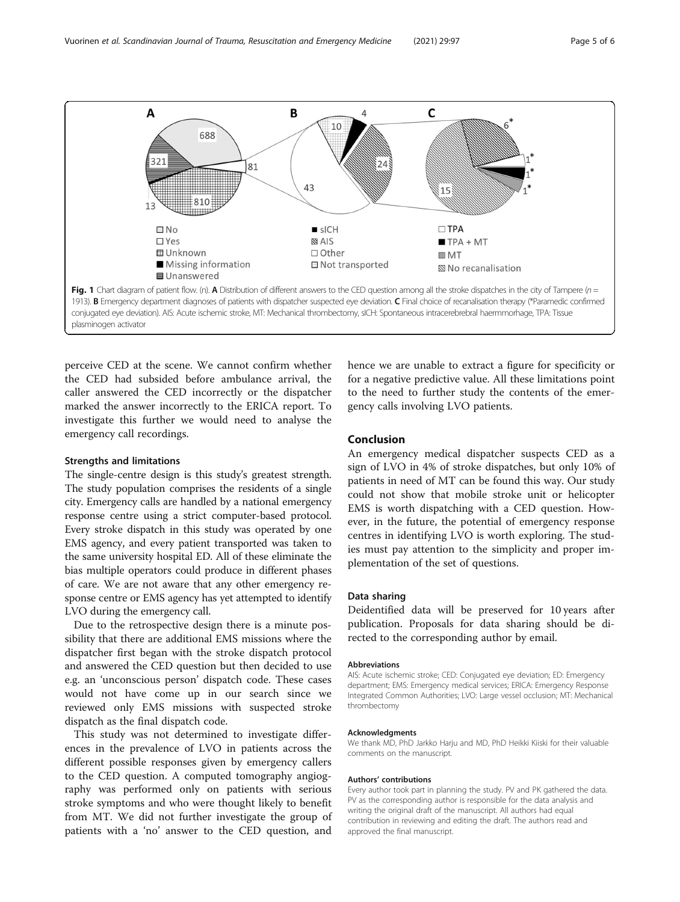<span id="page-4-0"></span>

perceive CED at the scene. We cannot confirm whether the CED had subsided before ambulance arrival, the caller answered the CED incorrectly or the dispatcher marked the answer incorrectly to the ERICA report. To investigate this further we would need to analyse the emergency call recordings.

#### Strengths and limitations

The single-centre design is this study's greatest strength. The study population comprises the residents of a single city. Emergency calls are handled by a national emergency response centre using a strict computer-based protocol. Every stroke dispatch in this study was operated by one EMS agency, and every patient transported was taken to the same university hospital ED. All of these eliminate the bias multiple operators could produce in different phases of care. We are not aware that any other emergency response centre or EMS agency has yet attempted to identify LVO during the emergency call.

Due to the retrospective design there is a minute possibility that there are additional EMS missions where the dispatcher first began with the stroke dispatch protocol and answered the CED question but then decided to use e.g. an 'unconscious person' dispatch code. These cases would not have come up in our search since we reviewed only EMS missions with suspected stroke dispatch as the final dispatch code.

This study was not determined to investigate differences in the prevalence of LVO in patients across the different possible responses given by emergency callers to the CED question. A computed tomography angiography was performed only on patients with serious stroke symptoms and who were thought likely to benefit from MT. We did not further investigate the group of patients with a 'no' answer to the CED question, and

hence we are unable to extract a figure for specificity or for a negative predictive value. All these limitations point to the need to further study the contents of the emergency calls involving LVO patients.

## Conclusion

An emergency medical dispatcher suspects CED as a sign of LVO in 4% of stroke dispatches, but only 10% of patients in need of MT can be found this way. Our study could not show that mobile stroke unit or helicopter EMS is worth dispatching with a CED question. However, in the future, the potential of emergency response centres in identifying LVO is worth exploring. The studies must pay attention to the simplicity and proper implementation of the set of questions.

#### Data sharing

Deidentified data will be preserved for 10 years after publication. Proposals for data sharing should be directed to the corresponding author by email.

#### Abbreviations

AIS: Acute ischemic stroke; CED: Conjugated eye deviation; ED: Emergency department; EMS: Emergency medical services; ERICA: Emergency Response Integrated Common Authorities; LVO: Large vessel occlusion; MT: Mechanical thrombectomy

#### Acknowledgments

We thank MD, PhD Jarkko Harju and MD, PhD Heikki Kiiski for their valuable comments on the manuscript.

#### Authors' contributions

Every author took part in planning the study. PV and PK gathered the data. PV as the corresponding author is responsible for the data analysis and writing the original draft of the manuscript. All authors had equal contribution in reviewing and editing the draft. The authors read and approved the final manuscript.